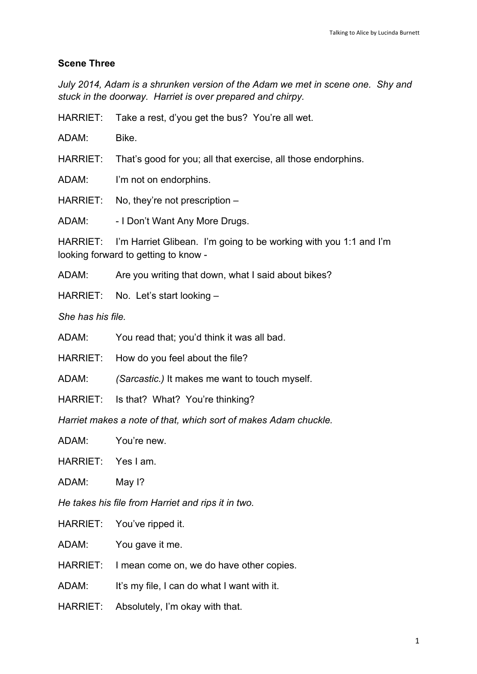## **Scene Three**

*July 2014, Adam is a shrunken version of the Adam we met in scene one. Shy and stuck in the doorway. Harriet is over prepared and chirpy.*

HARRIET: Take a rest, d'you get the bus? You're all wet.

ADAM: Bike.

HARRIET: That's good for you; all that exercise, all those endorphins.

ADAM: I'm not on endorphins.

HARRIET: No, they're not prescription –

ADAM: - I Don't Want Any More Drugs.

HARRIET: I'm Harriet Glibean. I'm going to be working with you 1:1 and I'm looking forward to getting to know -

ADAM: Are you writing that down, what I said about bikes?

HARRIET: No. Let's start looking –

*She has his file.*

ADAM: You read that; you'd think it was all bad.

HARRIET: How do you feel about the file?

ADAM: *(Sarcastic.)* It makes me want to touch myself.

HARRIET: Is that? What? You're thinking?

*Harriet makes a note of that, which sort of makes Adam chuckle.*

ADAM: You're new.

HARRIET: Yes I am.

ADAM: May I?

*He takes his file from Harriet and rips it in two.*

HARRIET: You've ripped it.

ADAM: You gave it me.

HARRIET: I mean come on, we do have other copies.

ADAM: It's my file, I can do what I want with it.

HARRIET: Absolutely, I'm okay with that.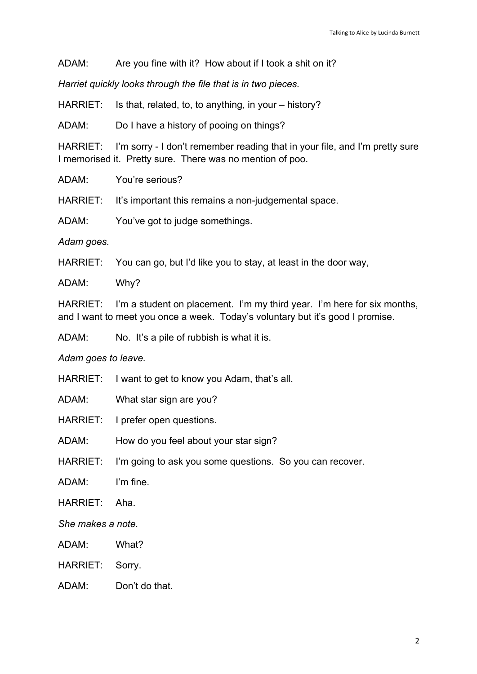ADAM: Are you fine with it? How about if I took a shit on it?

*Harriet quickly looks through the file that is in two pieces.*

HARRIET: Is that, related, to, to anything, in your – history?

ADAM: Do I have a history of pooing on things?

HARRIET: I'm sorry - I don't remember reading that in your file, and I'm pretty sure I memorised it. Pretty sure. There was no mention of poo.

ADAM: You're serious?

HARRIET: It's important this remains a non-judgemental space.

ADAM: You've got to judge somethings.

*Adam goes.*

HARRIET: You can go, but I'd like you to stay, at least in the door way,

ADAM: Why?

HARRIET: I'm a student on placement. I'm my third year. I'm here for six months, and I want to meet you once a week. Today's voluntary but it's good I promise.

ADAM: No. It's a pile of rubbish is what it is.

*Adam goes to leave.*

HARRIET: I want to get to know you Adam, that's all.

ADAM: What star sign are you?

HARRIET: I prefer open questions.

ADAM: How do you feel about your star sign?

HARRIET: I'm going to ask you some questions. So you can recover.

ADAM: I'm fine.

HARRIET: Aha.

*She makes a note.*

ADAM: What?

HARRIET: Sorry.

ADAM: Don't do that.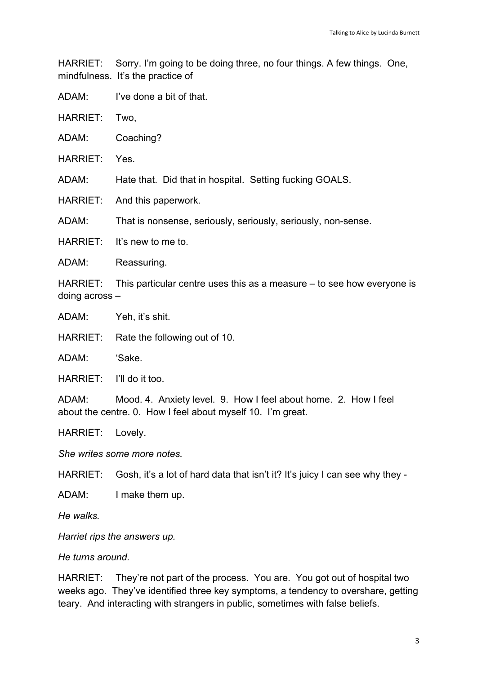HARRIET: Sorry. I'm going to be doing three, no four things. A few things. One, mindfulness. It's the practice of

ADAM: I've done a bit of that.

HARRIET: Two,

ADAM: Coaching?

HARRIET: Yes.

ADAM: Hate that. Did that in hospital. Setting fucking GOALS.

HARRIET: And this paperwork.

ADAM: That is nonsense, seriously, seriously, seriously, non-sense.

HARRIET: It's new to me to

ADAM: Reassuring.

HARRIET: This particular centre uses this as a measure – to see how everyone is doing across –

ADAM: Yeh, it's shit.

HARRIET: Rate the following out of 10.

ADAM: 'Sake.

HARRIET: I'll do it too.

ADAM: Mood. 4. Anxiety level. 9. How I feel about home. 2. How I feel about the centre. 0. How I feel about myself 10. I'm great.

HARRIET: Lovely.

*She writes some more notes.*

HARRIET: Gosh, it's a lot of hard data that isn't it? It's juicy I can see why they -

ADAM: I make them up.

*He walks.*

*Harriet rips the answers up.* 

*He turns around.*

HARRIET: They're not part of the process. You are. You got out of hospital two weeks ago. They've identified three key symptoms, a tendency to overshare, getting teary. And interacting with strangers in public, sometimes with false beliefs.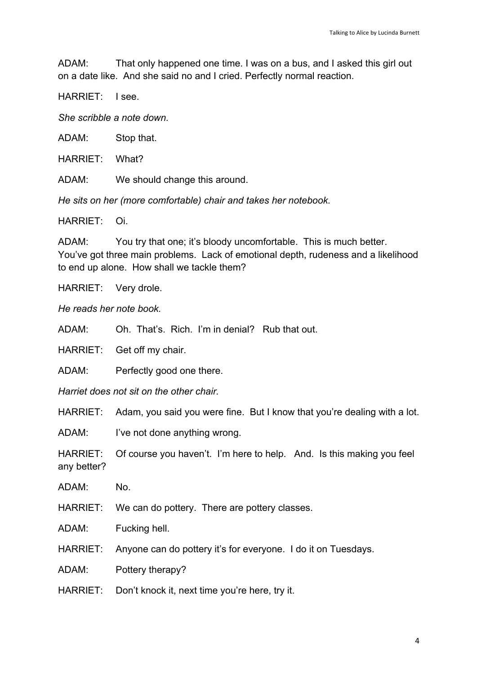ADAM: That only happened one time. I was on a bus, and I asked this girl out on a date like. And she said no and I cried. Perfectly normal reaction.

HARRIET: I see.

*She scribble a note down.*

ADAM: Stop that.

HARRIET: What?

ADAM: We should change this around.

*He sits on her (more comfortable) chair and takes her notebook.*

HARRIET: Oi.

ADAM: You try that one; it's bloody uncomfortable. This is much better. You've got three main problems. Lack of emotional depth, rudeness and a likelihood to end up alone. How shall we tackle them?

HARRIET: Very drole.

*He reads her note book.*

ADAM: Oh. That's. Rich. I'm in denial? Rub that out.

HARRIET: Get off my chair.

ADAM: Perfectly good one there.

*Harriet does not sit on the other chair.*

HARRIET: Adam, you said you were fine. But I know that you're dealing with a lot.

ADAM: I've not done anything wrong.

HARRIET: Of course you haven't. I'm here to help. And. Is this making you feel any better?

ADAM: No.

HARRIET: We can do pottery. There are pottery classes.

ADAM: Fucking hell.

HARRIET: Anyone can do pottery it's for everyone. I do it on Tuesdays.

ADAM: Pottery therapy?

HARRIET: Don't knock it, next time you're here, try it.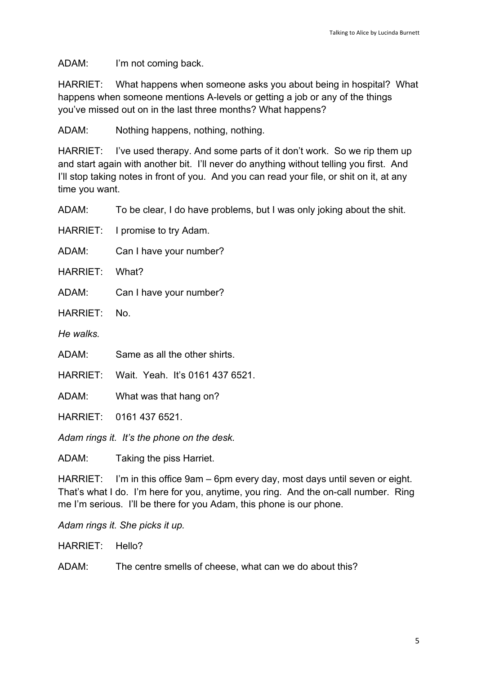ADAM: I'm not coming back.

HARRIET: What happens when someone asks you about being in hospital? What happens when someone mentions A-levels or getting a job or any of the things you've missed out on in the last three months? What happens?

ADAM: Nothing happens, nothing, nothing.

HARRIET: I've used therapy. And some parts of it don't work. So we rip them up and start again with another bit. I'll never do anything without telling you first. And I'll stop taking notes in front of you. And you can read your file, or shit on it, at any time you want.

ADAM: To be clear, I do have problems, but I was only joking about the shit.

HARRIET: I promise to try Adam.

ADAM: Can I have your number?

HARRIET: What?

ADAM: Can I have your number?

HARRIET: No.

*He walks.*

ADAM: Same as all the other shirts.

HARRIET: Wait. Yeah. It's 0161 437 6521.

ADAM: What was that hang on?

HARRIET: 0161 437 6521.

*Adam rings it. It's the phone on the desk.*

ADAM: Taking the piss Harriet.

HARRIET: I'm in this office 9am – 6pm every day, most days until seven or eight. That's what I do. I'm here for you, anytime, you ring. And the on-call number. Ring me I'm serious. I'll be there for you Adam, this phone is our phone.

*Adam rings it. She picks it up.*

HARRIET: Hello?

ADAM: The centre smells of cheese, what can we do about this?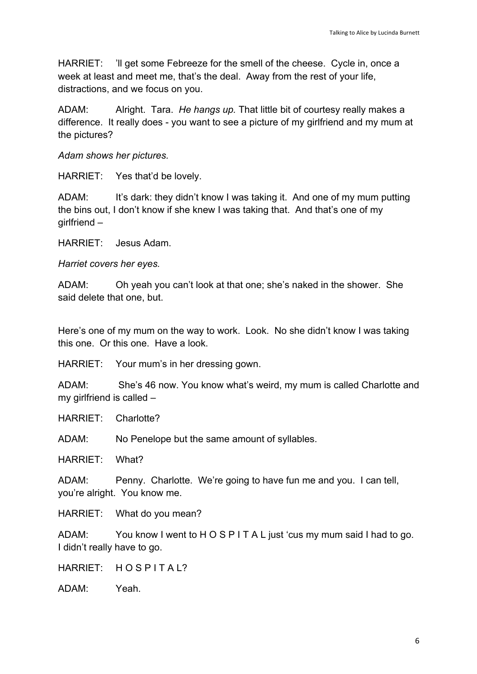HARRIET: 'll get some Febreeze for the smell of the cheese. Cycle in, once a week at least and meet me, that's the deal. Away from the rest of your life, distractions, and we focus on you.

ADAM: Alright. Tara. *He hangs up.* That little bit of courtesy really makes a difference. It really does - you want to see a picture of my girlfriend and my mum at the pictures?

*Adam shows her pictures.*

HARRIET: Yes that'd be lovely.

ADAM: It's dark: they didn't know I was taking it. And one of my mum putting the bins out, I don't know if she knew I was taking that. And that's one of my girlfriend –

HARRIET: Jesus Adam.

*Harriet covers her eyes.*

ADAM: Oh yeah you can't look at that one; she's naked in the shower. She said delete that one, but.

Here's one of my mum on the way to work. Look. No she didn't know I was taking this one. Or this one. Have a look.

HARRIET: Your mum's in her dressing gown.

ADAM: She's 46 now. You know what's weird, my mum is called Charlotte and my girlfriend is called –

HARRIET: Charlotte?

ADAM: No Penelope but the same amount of syllables.

HARRIET: What?

ADAM: Penny. Charlotte. We're going to have fun me and you. I can tell, you're alright. You know me.

HARRIET: What do you mean?

ADAM: You know I went to H O S P I T A L just 'cus my mum said I had to go. I didn't really have to go.

HARRIET: HOSPITAL?

ADAM: Yeah.